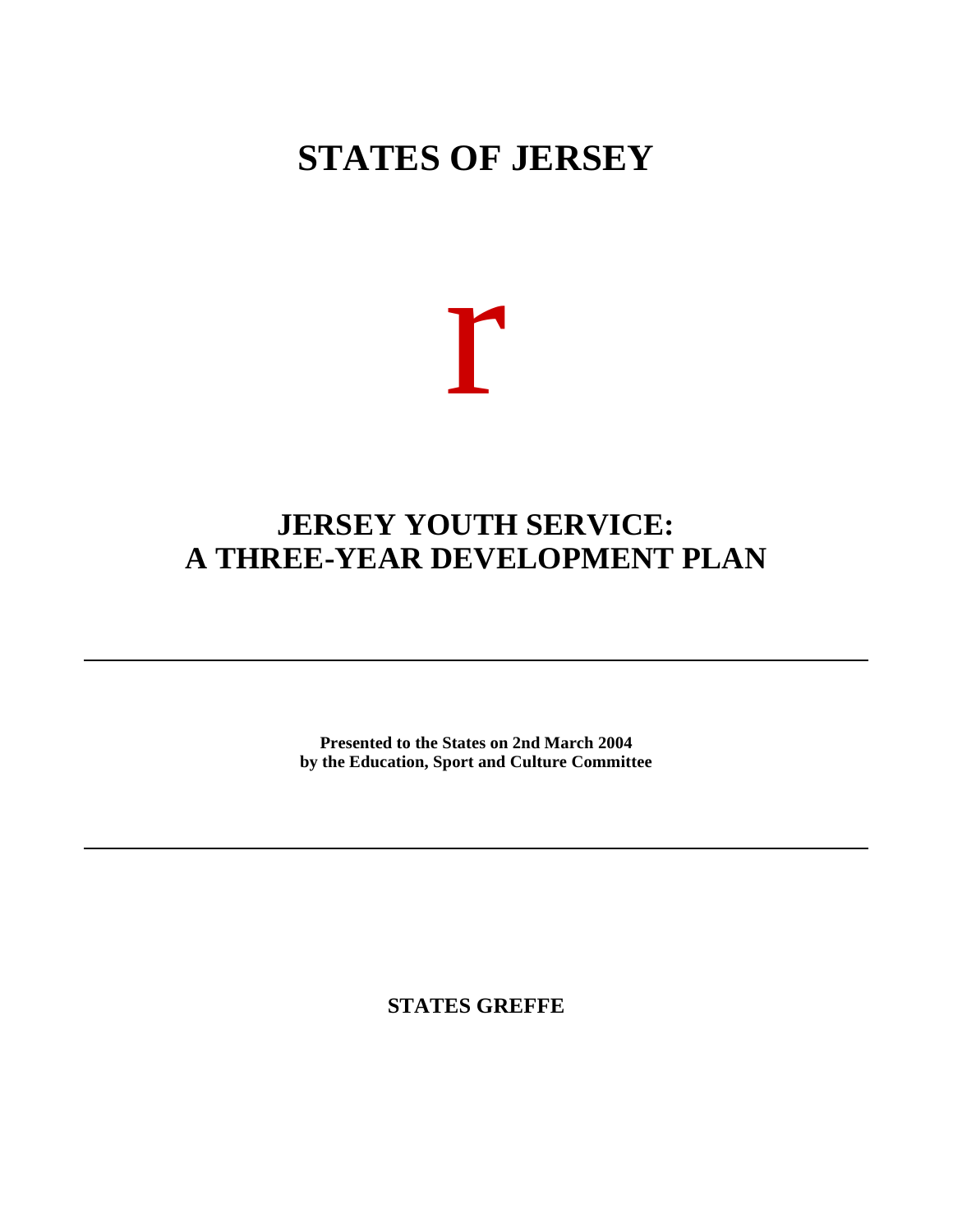# **STATES OF JERSEY**



## **JERSEY YOUTH SERVICE: A THREE-YEAR DEVELOPMENT PLAN**

**Presented to the States on 2nd March 2004 by the Education, Sport and Culture Committee**

**STATES GREFFE**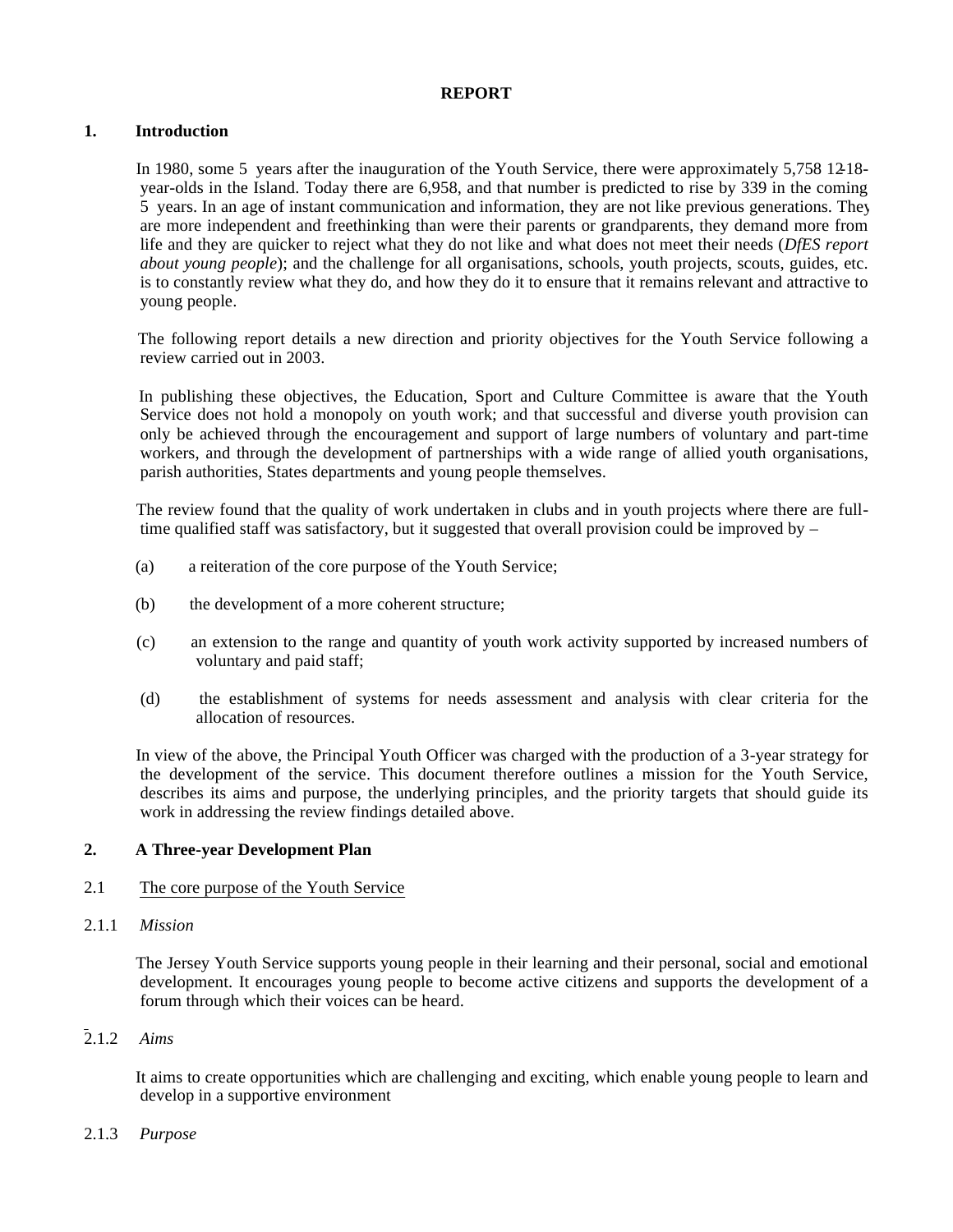#### **REPORT**

#### **1. Introduction**

 In 1980, some 5 years after the inauguration of the Youth Service, there were approximately 5,758 12-18 year-olds in the Island. Today there are 6,958, and that number is predicted to rise by 339 in the coming 5 years. In an age of instant communication and information, they are not like previous generations. They are more independent and freethinking than were their parents or grandparents, they demand more from life and they are quicker to reject what they do not like and what does not meet their needs (*DfES report about young people*); and the challenge for all organisations, schools, youth projects, scouts, guides, etc. is to constantly review what they do, and how they do it to ensure that it remains relevant and attractive to young people.

 The following report details a new direction and priority objectives for the Youth Service following a review carried out in 2003.

 In publishing these objectives, the Education, Sport and Culture Committee is aware that the Youth Service does not hold a monopoly on youth work; and that successful and diverse youth provision can only be achieved through the encouragement and support of large numbers of voluntary and part-time workers, and through the development of partnerships with a wide range of allied youth organisations, parish authorities, States departments and young people themselves.

 The review found that the quality of work undertaken in clubs and in youth projects where there are fulltime qualified staff was satisfactory, but it suggested that overall provision could be improved by –

- (a) a reiteration of the core purpose of the Youth Service;
- (b) the development of a more coherent structure;
- (c) an extension to the range and quantity of youth work activity supported by increased numbers of voluntary and paid staff;
- (d) the establishment of systems for needs assessment and analysis with clear criteria for the allocation of resources.

 In view of the above, the Principal Youth Officer was charged with the production of a 3-year strategy for the development of the service. This document therefore outlines a mission for the Youth Service, describes its aims and purpose, the underlying principles, and the priority targets that should guide its work in addressing the review findings detailed above.

#### **2. A Three-year Development Plan**

#### 2.1 The core purpose of the Youth Service

2.1.1 *Mission*

 The Jersey Youth Service supports young people in their learning and their personal, social and emotional development. It encourages young people to become active citizens and supports the development of a forum through which their voices can be heard.

#### $\overline{2}$ .1.2 *Aims*

 It aims to create opportunities which are challenging and exciting, which enable young people to learn and develop in a supportive environment

#### 2.1.3 *Purpose*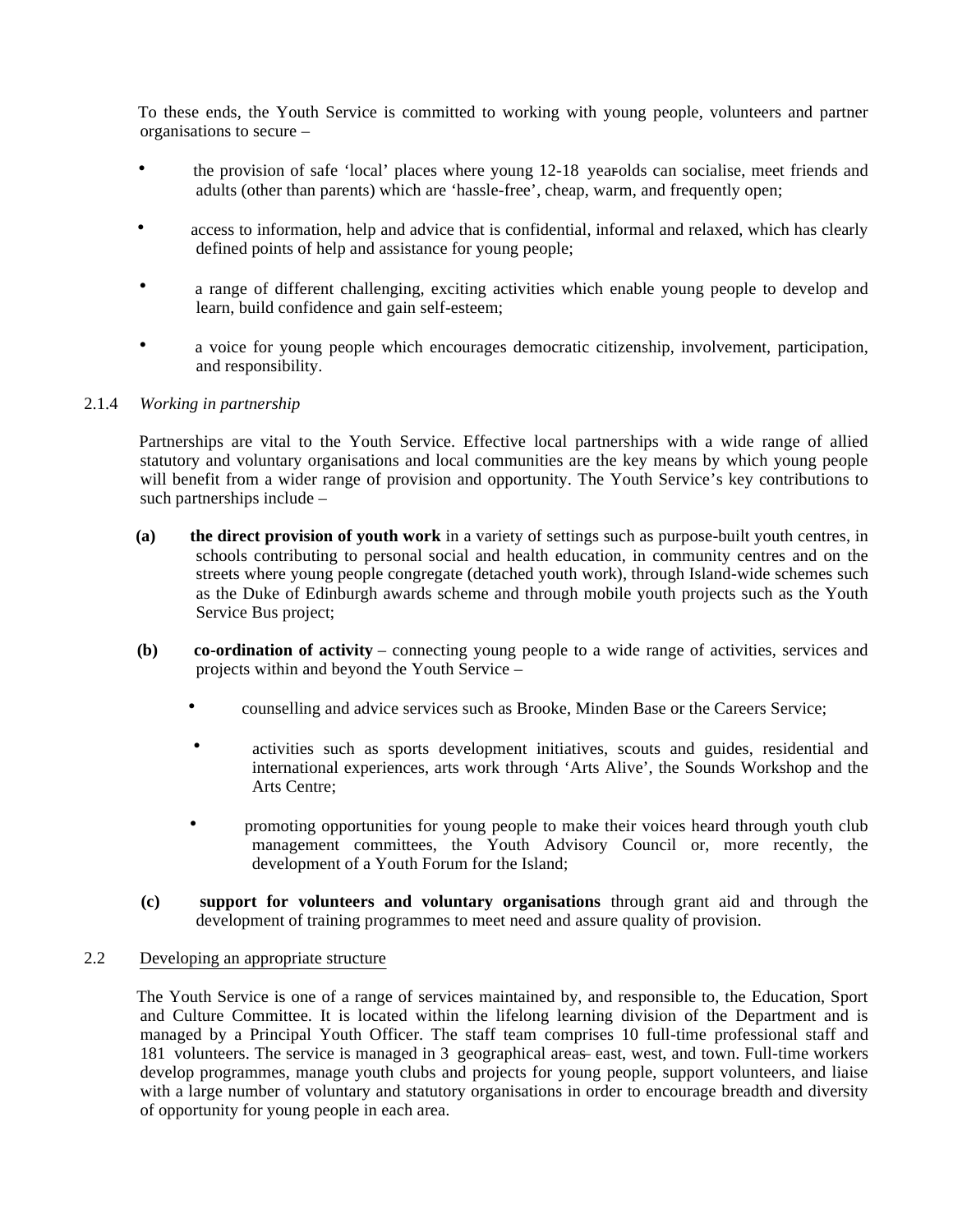To these ends, the Youth Service is committed to working with young people, volunteers and partner organisations to secure –

- the provision of safe 'local' places where young 12-18 year-olds can socialise, meet friends and adults (other than parents) which are 'hassle-free', cheap, warm, and frequently open;
- access to information, help and advice that is confidential, informal and relaxed, which has clearly defined points of help and assistance for young people;
- a range of different challenging, exciting activities which enable young people to develop and learn, build confidence and gain self-esteem;
- a voice for young people which encourages democratic citizenship, involvement, participation, and responsibility.

#### 2.1.4 *Working in partnership*

 Partnerships are vital to the Youth Service. Effective local partnerships with a wide range of allied statutory and voluntary organisations and local communities are the key means by which young people will benefit from a wider range of provision and opportunity. The Youth Service's key contributions to such partnerships include –

- **(a) the direct provision of youth work** in a variety of settings such as purpose-built youth centres, in schools contributing to personal social and health education, in community centres and on the streets where young people congregate (detached youth work), through Island-wide schemes such as the Duke of Edinburgh awards scheme and through mobile youth projects such as the Youth Service Bus project;
- **(b) co-ordination of activity** connecting young people to a wide range of activities, services and projects within and beyond the Youth Service –
	- counselling and advice services such as Brooke, Minden Base or the Careers Service;
	- activities such as sports development initiatives, scouts and guides, residential and international experiences, arts work through 'Arts Alive', the Sounds Workshop and the Arts Centre;
	- promoting opportunities for young people to make their voices heard through youth club management committees, the Youth Advisory Council or, more recently, the development of a Youth Forum for the Island;
- **(c) support for volunteers and voluntary organisations** through grant aid and through the development of training programmes to meet need and assure quality of provision.

#### 2.2 Developing an appropriate structure

 The Youth Service is one of a range of services maintained by, and responsible to, the Education, Sport and Culture Committee. It is located within the lifelong learning division of the Department and is managed by a Principal Youth Officer. The staff team comprises 10 full-time professional staff and 181 volunteers. The service is managed in 3 geographical areas – east, west, and town. Full-time workers develop programmes, manage youth clubs and projects for young people, support volunteers, and liaise with a large number of voluntary and statutory organisations in order to encourage breadth and diversity of opportunity for young people in each area.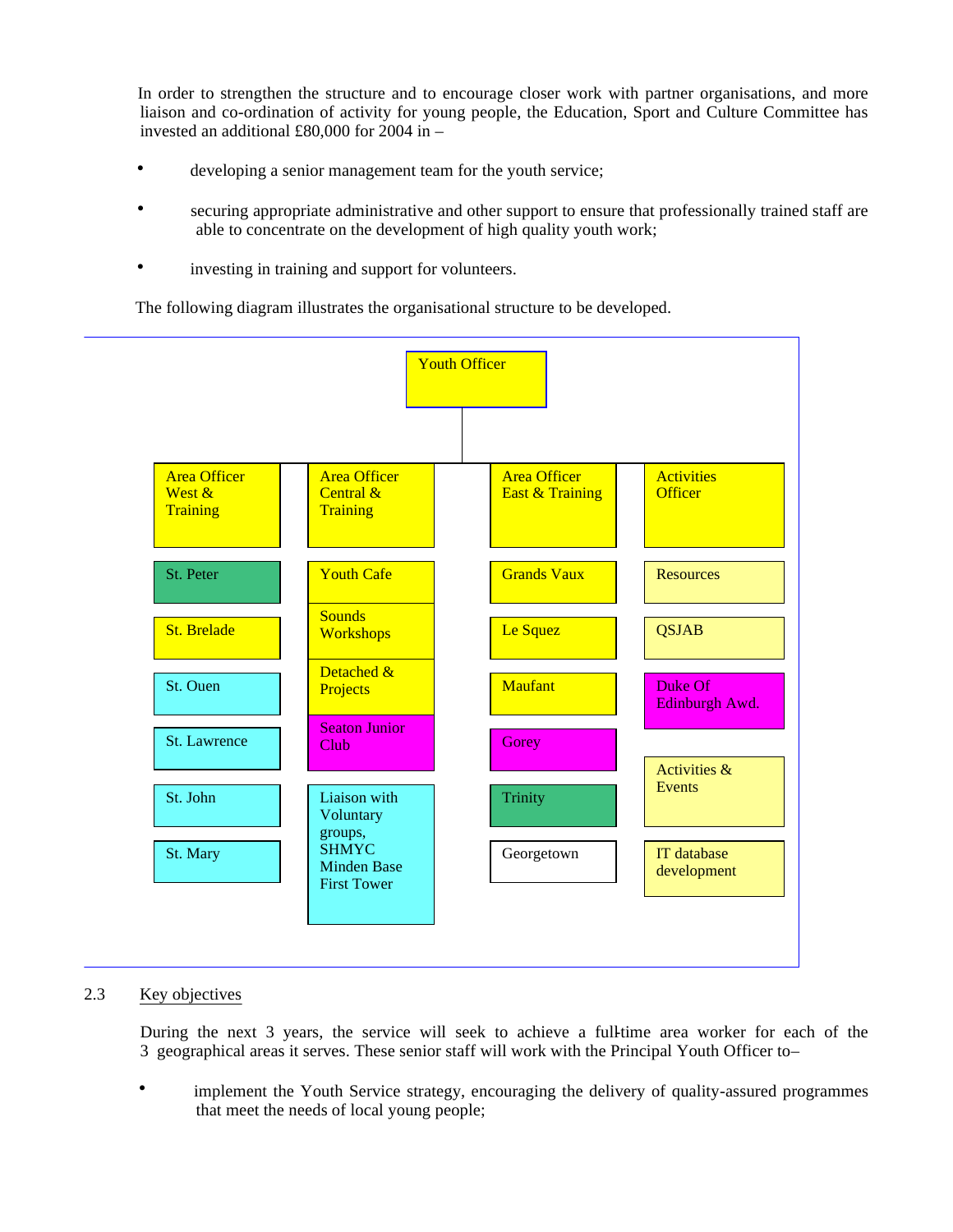In order to strengthen the structure and to encourage closer work with partner organisations, and more liaison and co-ordination of activity for young people, the Education, Sport and Culture Committee has invested an additional £80,000 for 2004 in –

- developing a senior management team for the youth service;
- securing appropriate administrative and other support to ensure that professionally trained staff are able to concentrate on the development of high quality youth work;
- investing in training and support for volunteers.

The following diagram illustrates the organisational structure to be developed.



### 2.3 Key objectives

 During the next 3 years, the service will seek to achieve a full-time area worker for each of the 3 geographical areas it serves. These senior staff will work with the Principal Youth Officer to –

 • implement the Youth Service strategy, encouraging the delivery of quality-assured programmes that meet the needs of local young people;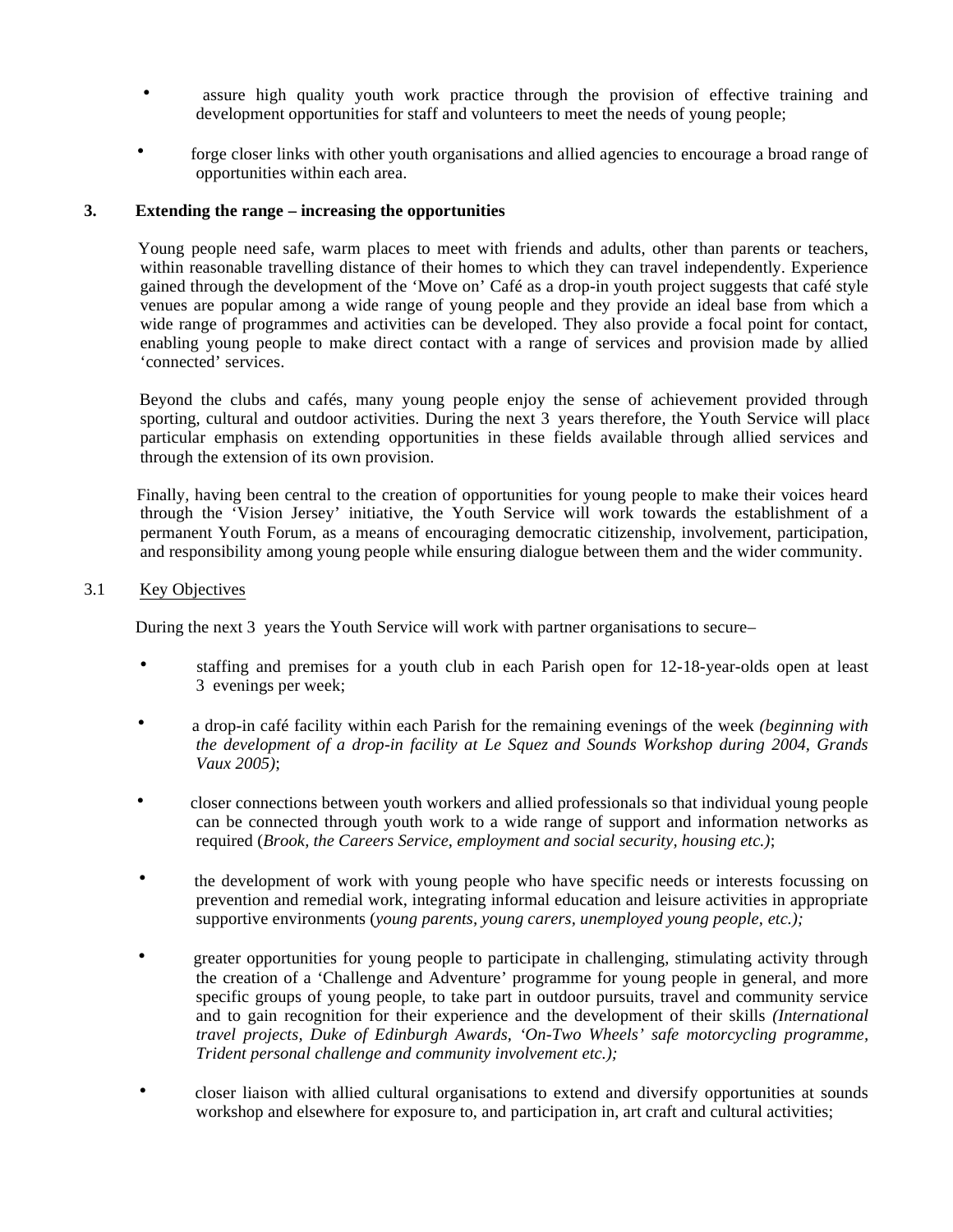- assure high quality youth work practice through the provision of effective training and development opportunities for staff and volunteers to meet the needs of young people;
- forge closer links with other youth organisations and allied agencies to encourage a broad range of opportunities within each area.

#### **3. Extending the range – increasing the opportunities**

 Young people need safe, warm places to meet with friends and adults, other than parents or teachers, within reasonable travelling distance of their homes to which they can travel independently. Experience gained through the development of the 'Move on' Café as a drop-in youth project suggests that café style venues are popular among a wide range of young people and they provide an ideal base from which a wide range of programmes and activities can be developed. They also provide a focal point for contact, enabling young people to make direct contact with a range of services and provision made by allied 'connected' services.

 Beyond the clubs and cafés, many young people enjoy the sense of achievement provided through sporting, cultural and outdoor activities. During the next 3 years therefore, the Youth Service will place particular emphasis on extending opportunities in these fields available through allied services and through the extension of its own provision.

 Finally, having been central to the creation of opportunities for young people to make their voices heard through the 'Vision Jersey' initiative, the Youth Service will work towards the establishment of a permanent Youth Forum, as a means of encouraging democratic citizenship, involvement, participation, and responsibility among young people while ensuring dialogue between them and the wider community.

#### 3.1 Key Objectives

During the next 3 years the Youth Service will work with partner organisations to secure –

- staffing and premises for a youth club in each Parish open for 12-18-year-olds open at least 3 evenings per week;
- a drop-in café facility within each Parish for the remaining evenings of the week *(beginning with the development of a drop-in facility at Le Squez and Sounds Workshop during 2004, Grands Vaux 2005)*;
- closer connections between youth workers and allied professionals so that individual young people can be connected through youth work to a wide range of support and information networks as required (*Brook, the Careers Service, employment and social security, housing etc.)*;
- the development of work with young people who have specific needs or interests focussing on prevention and remedial work, integrating informal education and leisure activities in appropriate supportive environments (*young parents, young carers, unemployed young people, etc.);*
- greater opportunities for young people to participate in challenging, stimulating activity through the creation of a 'Challenge and Adventure' programme for young people in general, and more specific groups of young people, to take part in outdoor pursuits, travel and community service and to gain recognition for their experience and the development of their skills *(International travel projects, Duke of Edinburgh Awards, 'On-Two Wheels' safe motorcycling programme, Trident personal challenge and community involvement etc.);*
- closer liaison with allied cultural organisations to extend and diversify opportunities at sounds workshop and elsewhere for exposure to, and participation in, art craft and cultural activities;